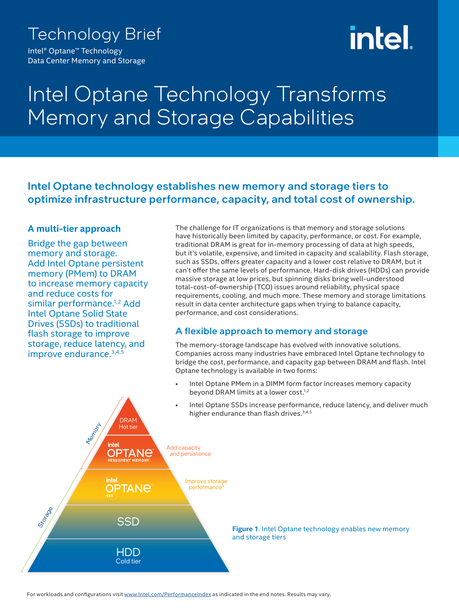### Technology Brief

Intel® Optane™ Technology Data Center Memory and Storage

# <u>intel.</u>

## Intel Optane Technology Transforms Memory and Storage Capabilities

Intel Optane technology establishes new memory and storage tiers to optimize infrastructure performance, capacity, and total cost of ownership.

#### **A multi-tier approach**

Bridge the gap between memory and storage. Add Intel Optane persistent memory (PMem) to DRAM to increase memory capacity and reduce costs for similar performance.<sup>1,2</sup> Add Intel Optane Solid State Drives (SSDs) to traditional flash storage to improve storage, reduce latency, and improve endurance.3,4,5

The challenge for IT organizations is that memory and storage solutions have historically been limited by capacity, performance, or cost. For example, traditional DRAM is great for in-memory processing of data at high speeds, but it's volatile, expensive, and limited in capacity and scalability. Flash storage, such as SSDs, offers greater capacity and a lower cost relative to DRAM, but it can't offer the same levels of performance. Hard-disk drives (HDDs) can provide massive storage at low prices, but spinning disks bring well-understood total-cost-of-ownership (TCO) issues around reliability, physical space requirements, cooling, and much more. These memory and storage limitations result in data center architecture gaps when trying to balance capacity, performance, and cost considerations.

#### A flexible approach to memory and storage

The memory-storage landscape has evolved with innovative solutions. Companies across many industries have embraced Intel Optane technology to bridge the cost, performance, and capacity gap between DRAM and flash. Intel Optane technology is available in two forms:

- Intel Optane PMem in a DIMM form factor increases memory capacity beyond DRAM limits at a lower cost.<sup>1,2</sup>
- Intel Optane SSDs increase performance, reduce latency, and deliver much higher endurance than flash drives.<sup>3,4,5</sup>

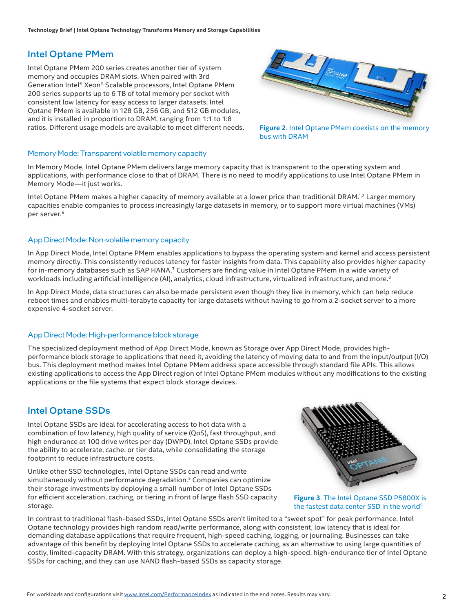#### Intel Optane PMem

Intel Optane PMem 200 series creates another tier of system memory and occupies DRAM slots. When paired with 3rd Generation Intel® Xeon® Scalable processors, Intel Optane PMem 200 series supports up to 6 TB of total memory per socket with consistent low latency for easy access to larger datasets. Intel Optane PMem is available in 128 GB, 256 GB, and 512 GB modules, and it is installed in proportion to DRAM, ranging from 1:1 to 1:8 ratios. Different usage models are available to meet different needs.



**Figure 2**. Intel Optane PMem coexists on the memory bus with DRAM

#### Memory Mode: Transparent volatile memory capacity

In Memory Mode, Intel Optane PMem delivers large memory capacity that is transparent to the operating system and applications, with performance close to that of DRAM. There is no need to modify applications to use Intel Optane PMem in Memory Mode—it just works.

Intel Optane PMem makes a higher capacity of memory available at a lower price than traditional DRAM.<sup>1,2</sup> Larger memory capacities enable companies to process increasingly large datasets in memory, or to support more virtual machines (VMs) per server.<sup>6</sup>

#### App Direct Mode: Non-volatile memory capacity

In App Direct Mode, Intel Optane PMem enables applications to bypass the operating system and kernel and access persistent memory directly. This consistently reduces latency for faster insights from data. This capability also provides higher capacity for in-memory databases such as SAP HANA.<sup>7</sup> Customers are finding value in Intel Optane PMem in a wide variety of workloads including artificial intelligence (AI), analytics, cloud infrastructure, virtualized infrastructure, and more.<sup>8</sup>

In App Direct Mode, data structures can also be made persistent even though they live in memory, which can help reduce reboot times and enables multi-terabyte capacity for large datasets without having to go from a 2-socket server to a more expensive 4-socket server.

#### App Direct Mode: High-performance block storage

The specialized deployment method of App Direct Mode, known as Storage over App Direct Mode, provides highperformance block storage to applications that need it, avoiding the latency of moving data to and from the input/output (I/O) bus. This deployment method makes Intel Optane PMem address space accessible through standard file APIs. This allows existing applications to access the App Direct region of Intel Optane PMem modules without any modifications to the existing applications or the file systems that expect block storage devices.

#### Intel Optane SSDs

Intel Optane SSDs are ideal for accelerating access to hot data with a combination of low latency, high quality of service (QoS), fast throughput, and high endurance at 100 drive writes per day (DWPD). Intel Optane SSDs provide the ability to accelerate, cache, or tier data, while consolidating the storage footprint to reduce infrastructure costs.

Unlike other SSD technologies, Intel Optane SSDs can read and write simultaneously without performance degradation.<sup>5</sup> Companies can optimize their storage investments by deploying a small number of Intel Optane SSDs for efficient acceleration, caching, or tiering in front of large flash SSD capacity storage.



**Figure 3**. The Intel Optane SSD P5800X is the fastest data center SSD in the world<sup>9</sup>

In contrast to traditional flash-based SSDs, Intel Optane SSDs aren't limited to a "sweet spot" for peak performance. Intel Optane technology provides high random read/write performance, along with consistent, low latency that is ideal for demanding database applications that require frequent, high-speed caching, logging, or journaling. Businesses can take advantage of this benefit by deploying Intel Optane SSDs to accelerate caching, as an alternative to using large quantities of costly, limited-capacity DRAM. With this strategy, organizations can deploy a high-speed, high-endurance tier of Intel Optane SSDs for caching, and they can use NAND flash-based SSDs as capacity storage.